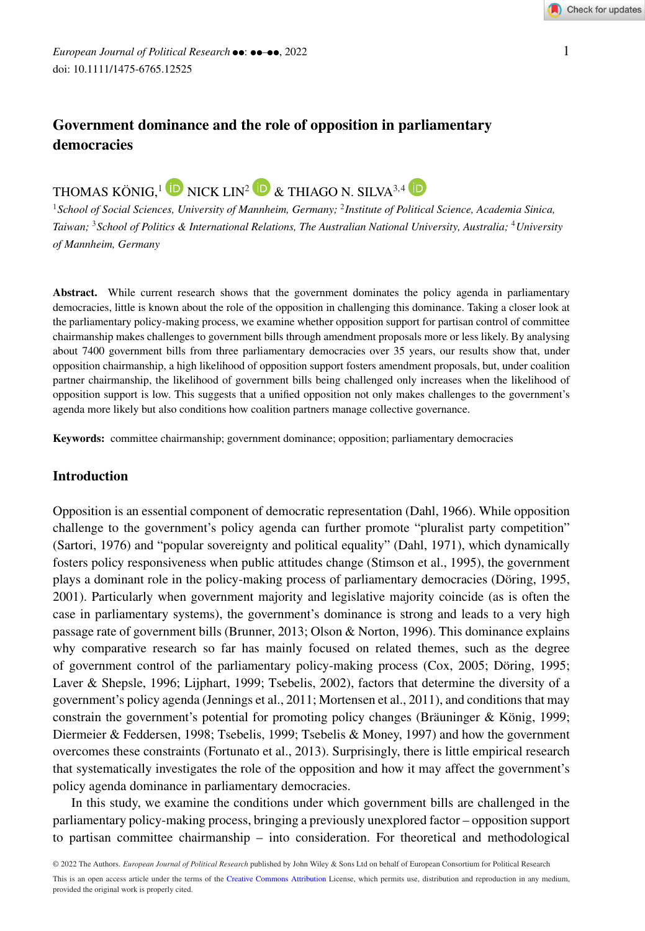## **Government dominance and the role of opposition in parliamentary democracies**

# THOMAS KÖNIG.<sup>1</sup> D NICK LIN<sup>2</sup> D & THIAGO N. SILVA<sup>3,4</sup> D

<sup>1</sup>*School of Social Sciences, University of Mannheim, Germany;* <sup>2</sup>*Institute of Political Science, Academia Sinica, Taiwan;* <sup>3</sup>*School of Politics & International Relations, The Australian National University, Australia;* <sup>4</sup>*University of Mannheim, Germany*

Abstract. While current research shows that the government dominates the policy agenda in parliamentary democracies, little is known about the role of the opposition in challenging this dominance. Taking a closer look at the parliamentary policy-making process, we examine whether opposition support for partisan control of committee chairmanship makes challenges to government bills through amendment proposals more or less likely. By analysing about 7400 government bills from three parliamentary democracies over 35 years, our results show that, under opposition chairmanship, a high likelihood of opposition support fosters amendment proposals, but, under coalition partner chairmanship, the likelihood of government bills being challenged only increases when the likelihood of opposition support is low. This suggests that a unified opposition not only makes challenges to the government's agenda more likely but also conditions how coalition partners manage collective governance.

**Keywords:** committee chairmanship; government dominance; opposition; parliamentary democracies

#### **Introduction**

Opposition is an essential component of democratic representation (Dahl, 1966). While opposition challenge to the government's policy agenda can further promote "pluralist party competition" (Sartori, 1976) and "popular sovereignty and political equality" (Dahl, 1971), which dynamically fosters policy responsiveness when public attitudes change (Stimson et al., 1995), the government plays a dominant role in the policy-making process of parliamentary democracies (Döring, 1995, 2001). Particularly when government majority and legislative majority coincide (as is often the case in parliamentary systems), the government's dominance is strong and leads to a very high passage rate of government bills (Brunner, 2013; Olson & Norton, 1996). This dominance explains why comparative research so far has mainly focused on related themes, such as the degree of government control of the parliamentary policy-making process (Cox, 2005; Döring, 1995; Laver & Shepsle, 1996; Lijphart, 1999; Tsebelis, 2002), factors that determine the diversity of a government's policy agenda (Jennings et al., 2011; Mortensen et al., 2011), and conditions that may constrain the government's potential for promoting policy changes (Bräuninger & König, 1999; Diermeier & Feddersen, 1998; Tsebelis, 1999; Tsebelis & Money, 1997) and how the government overcomes these constraints (Fortunato et al., 2013). Surprisingly, there is little empirical research that systematically investigates the role of the opposition and how it may affect the government's policy agenda dominance in parliamentary democracies.

In this study, we examine the conditions under which government bills are challenged in the parliamentary policy-making process, bringing a previously unexplored factor – opposition support to partisan committee chairmanship – into consideration. For theoretical and methodological

© 2022 The Authors. *European Journal of Political Research* published by John Wiley & Sons Ltd on behalf of European Consortium for Political Research This is an open access article under the terms of the [Creative Commons Attribution](http://creativecommons.org/licenses/by/4.0/) License, which permits use, distribution and reproduction in any medium, provided the original work is properly cited.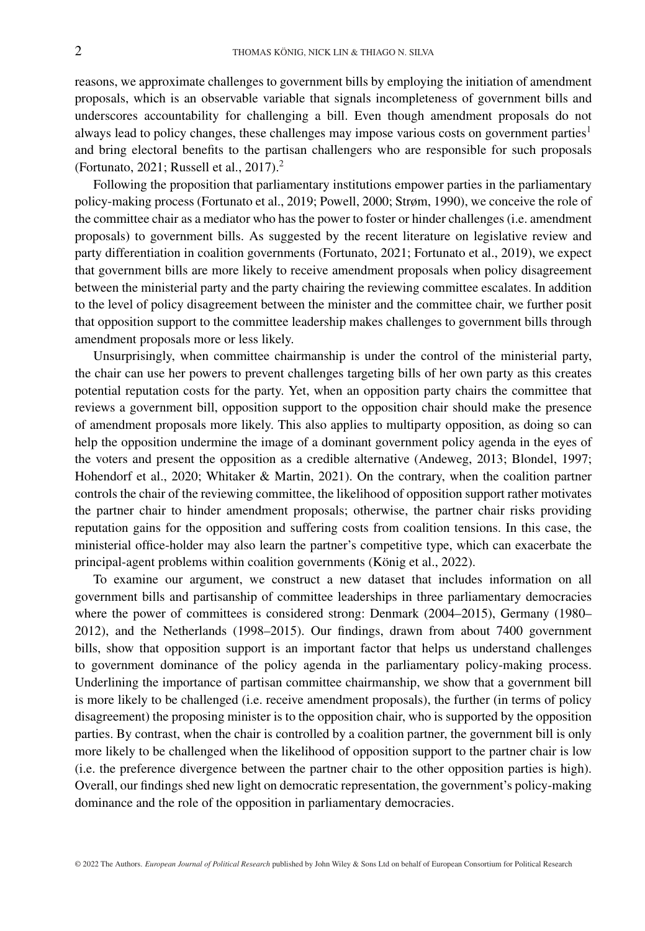reasons, we approximate challenges to government bills by employing the initiation of amendment proposals, which is an observable variable that signals incompleteness of government bills and underscores accountability for challenging a bill. Even though amendment proposals do not always lead to policy changes, these challenges may impose various costs on government parties<sup>1</sup> and bring electoral benefits to the partisan challengers who are responsible for such proposals (Fortunato, 2021; Russell et al., 2017).<sup>2</sup>

Following the proposition that parliamentary institutions empower parties in the parliamentary policy-making process (Fortunato et al., 2019; Powell, 2000; Strøm, 1990), we conceive the role of the committee chair as a mediator who has the power to foster or hinder challenges (i.e. amendment proposals) to government bills. As suggested by the recent literature on legislative review and party differentiation in coalition governments (Fortunato, 2021; Fortunato et al., 2019), we expect that government bills are more likely to receive amendment proposals when policy disagreement between the ministerial party and the party chairing the reviewing committee escalates. In addition to the level of policy disagreement between the minister and the committee chair, we further posit that opposition support to the committee leadership makes challenges to government bills through amendment proposals more or less likely.

Unsurprisingly, when committee chairmanship is under the control of the ministerial party, the chair can use her powers to prevent challenges targeting bills of her own party as this creates potential reputation costs for the party. Yet, when an opposition party chairs the committee that reviews a government bill, opposition support to the opposition chair should make the presence of amendment proposals more likely. This also applies to multiparty opposition, as doing so can help the opposition undermine the image of a dominant government policy agenda in the eyes of the voters and present the opposition as a credible alternative (Andeweg, 2013; Blondel, 1997; Hohendorf et al., 2020; Whitaker & Martin, 2021). On the contrary, when the coalition partner controls the chair of the reviewing committee, the likelihood of opposition support rather motivates the partner chair to hinder amendment proposals; otherwise, the partner chair risks providing reputation gains for the opposition and suffering costs from coalition tensions. In this case, the ministerial office-holder may also learn the partner's competitive type, which can exacerbate the principal-agent problems within coalition governments (König et al., 2022).

To examine our argument, we construct a new dataset that includes information on all government bills and partisanship of committee leaderships in three parliamentary democracies where the power of committees is considered strong: Denmark (2004–2015), Germany (1980– 2012), and the Netherlands (1998–2015). Our findings, drawn from about 7400 government bills, show that opposition support is an important factor that helps us understand challenges to government dominance of the policy agenda in the parliamentary policy-making process. Underlining the importance of partisan committee chairmanship, we show that a government bill is more likely to be challenged (i.e. receive amendment proposals), the further (in terms of policy disagreement) the proposing minister is to the opposition chair, who is supported by the opposition parties. By contrast, when the chair is controlled by a coalition partner, the government bill is only more likely to be challenged when the likelihood of opposition support to the partner chair is low (i.e. the preference divergence between the partner chair to the other opposition parties is high). Overall, our findings shed new light on democratic representation, the government's policy-making dominance and the role of the opposition in parliamentary democracies.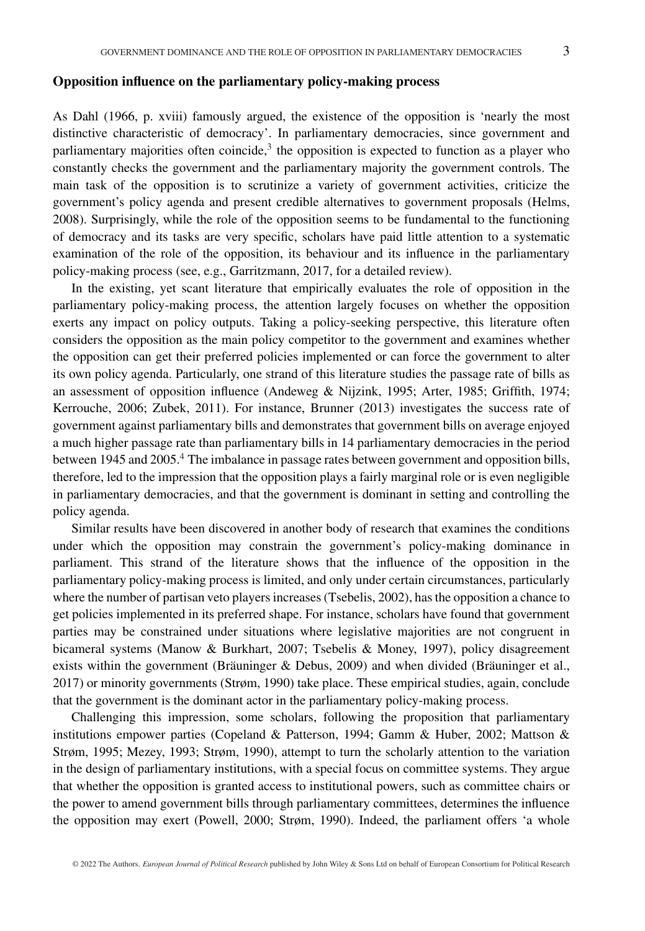#### **Opposition influence on the parliamentary policy-making process**

As Dahl (1966, p. xviii) famously argued, the existence of the opposition is 'nearly the most distinctive characteristic of democracy'. In parliamentary democracies, since government and parliamentary majorities often coincide, $3$  the opposition is expected to function as a player who constantly checks the government and the parliamentary majority the government controls. The main task of the opposition is to scrutinize a variety of government activities, criticize the government's policy agenda and present credible alternatives to government proposals (Helms, 2008). Surprisingly, while the role of the opposition seems to be fundamental to the functioning of democracy and its tasks are very specific, scholars have paid little attention to a systematic examination of the role of the opposition, its behaviour and its influence in the parliamentary policy-making process (see, e.g., Garritzmann, 2017, for a detailed review).

In the existing, yet scant literature that empirically evaluates the role of opposition in the parliamentary policy-making process, the attention largely focuses on whether the opposition exerts any impact on policy outputs. Taking a policy-seeking perspective, this literature often considers the opposition as the main policy competitor to the government and examines whether the opposition can get their preferred policies implemented or can force the government to alter its own policy agenda. Particularly, one strand of this literature studies the passage rate of bills as an assessment of opposition influence (Andeweg & Nijzink, 1995; Arter, 1985; Griffith, 1974; Kerrouche, 2006; Zubek, 2011). For instance, Brunner (2013) investigates the success rate of government against parliamentary bills and demonstrates that government bills on average enjoyed a much higher passage rate than parliamentary bills in 14 parliamentary democracies in the period between 1945 and 2005.<sup>4</sup> The imbalance in passage rates between government and opposition bills, therefore, led to the impression that the opposition plays a fairly marginal role or is even negligible in parliamentary democracies, and that the government is dominant in setting and controlling the policy agenda.

Similar results have been discovered in another body of research that examines the conditions under which the opposition may constrain the government's policy-making dominance in parliament. This strand of the literature shows that the influence of the opposition in the parliamentary policy-making process is limited, and only under certain circumstances, particularly where the number of partisan veto players increases (Tsebelis, 2002), has the opposition a chance to get policies implemented in its preferred shape. For instance, scholars have found that government parties may be constrained under situations where legislative majorities are not congruent in bicameral systems (Manow & Burkhart, 2007; Tsebelis & Money, 1997), policy disagreement exists within the government (Bräuninger & Debus, 2009) and when divided (Bräuninger et al., 2017) or minority governments (Strøm, 1990) take place. These empirical studies, again, conclude that the government is the dominant actor in the parliamentary policy-making process.

Challenging this impression, some scholars, following the proposition that parliamentary institutions empower parties (Copeland & Patterson, 1994; Gamm & Huber, 2002; Mattson & Strøm, 1995; Mezey, 1993; Strøm, 1990), attempt to turn the scholarly attention to the variation in the design of parliamentary institutions, with a special focus on committee systems. They argue that whether the opposition is granted access to institutional powers, such as committee chairs or the power to amend government bills through parliamentary committees, determines the influence the opposition may exert (Powell, 2000; Strøm, 1990). Indeed, the parliament offers 'a whole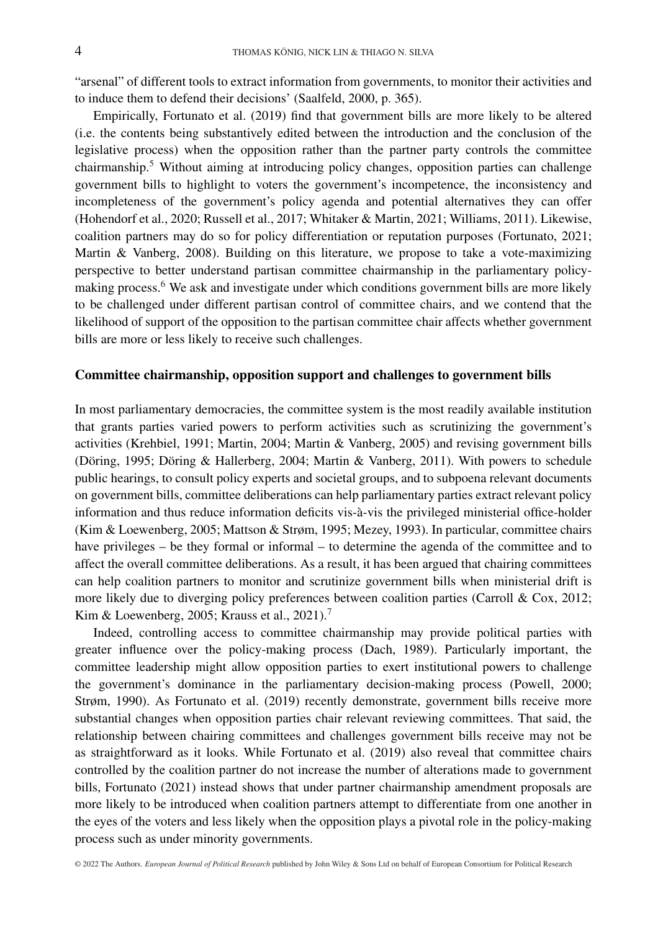"arsenal" of different tools to extract information from governments, to monitor their activities and to induce them to defend their decisions' (Saalfeld, 2000, p. 365).

Empirically, Fortunato et al. (2019) find that government bills are more likely to be altered (i.e. the contents being substantively edited between the introduction and the conclusion of the legislative process) when the opposition rather than the partner party controls the committee chairmanship.<sup>5</sup> Without aiming at introducing policy changes, opposition parties can challenge government bills to highlight to voters the government's incompetence, the inconsistency and incompleteness of the government's policy agenda and potential alternatives they can offer (Hohendorf et al., 2020; Russell et al., 2017; Whitaker & Martin, 2021; Williams, 2011). Likewise, coalition partners may do so for policy differentiation or reputation purposes (Fortunato, 2021; Martin & Vanberg, 2008). Building on this literature, we propose to take a vote-maximizing perspective to better understand partisan committee chairmanship in the parliamentary policymaking process.<sup>6</sup> We ask and investigate under which conditions government bills are more likely to be challenged under different partisan control of committee chairs, and we contend that the likelihood of support of the opposition to the partisan committee chair affects whether government bills are more or less likely to receive such challenges.

#### **Committee chairmanship, opposition support and challenges to government bills**

In most parliamentary democracies, the committee system is the most readily available institution that grants parties varied powers to perform activities such as scrutinizing the government's activities (Krehbiel, 1991; Martin, 2004; Martin & Vanberg, 2005) and revising government bills (Döring, 1995; Döring & Hallerberg, 2004; Martin & Vanberg, 2011). With powers to schedule public hearings, to consult policy experts and societal groups, and to subpoena relevant documents on government bills, committee deliberations can help parliamentary parties extract relevant policy information and thus reduce information deficits vis-à-vis the privileged ministerial office-holder (Kim & Loewenberg, 2005; Mattson & Strøm, 1995; Mezey, 1993). In particular, committee chairs have privileges – be they formal or informal – to determine the agenda of the committee and to affect the overall committee deliberations. As a result, it has been argued that chairing committees can help coalition partners to monitor and scrutinize government bills when ministerial drift is more likely due to diverging policy preferences between coalition parties (Carroll & Cox, 2012; Kim & Loewenberg, 2005; Krauss et al., 2021).<sup>7</sup>

Indeed, controlling access to committee chairmanship may provide political parties with greater influence over the policy-making process (Dach, 1989). Particularly important, the committee leadership might allow opposition parties to exert institutional powers to challenge the government's dominance in the parliamentary decision-making process (Powell, 2000; Strøm, 1990). As Fortunato et al. (2019) recently demonstrate, government bills receive more substantial changes when opposition parties chair relevant reviewing committees. That said, the relationship between chairing committees and challenges government bills receive may not be as straightforward as it looks. While Fortunato et al. (2019) also reveal that committee chairs controlled by the coalition partner do not increase the number of alterations made to government bills, Fortunato (2021) instead shows that under partner chairmanship amendment proposals are more likely to be introduced when coalition partners attempt to differentiate from one another in the eyes of the voters and less likely when the opposition plays a pivotal role in the policy-making process such as under minority governments.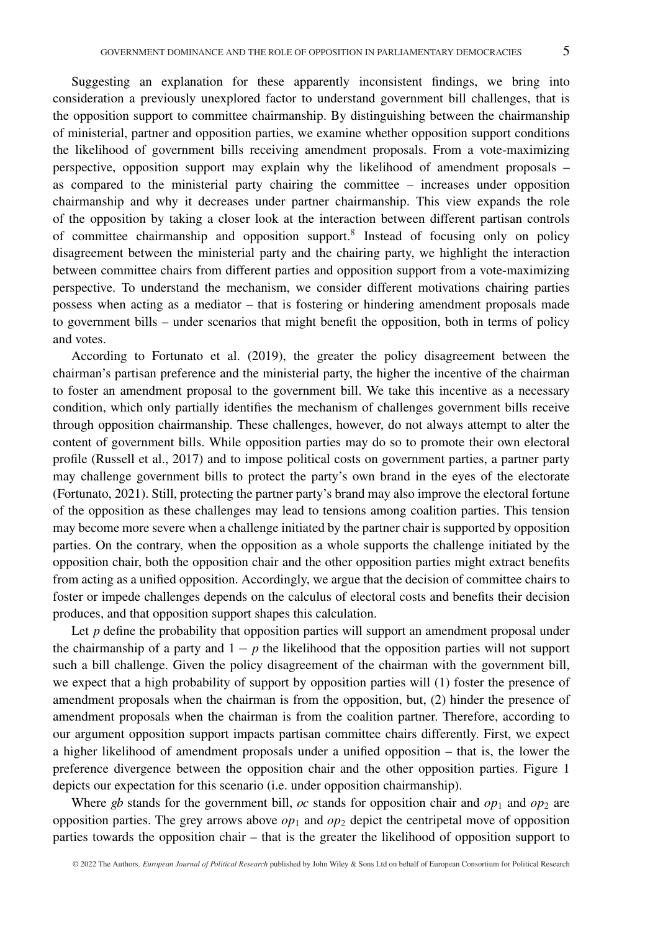Suggesting an explanation for these apparently inconsistent findings, we bring into consideration a previously unexplored factor to understand government bill challenges, that is the opposition support to committee chairmanship. By distinguishing between the chairmanship of ministerial, partner and opposition parties, we examine whether opposition support conditions the likelihood of government bills receiving amendment proposals. From a vote-maximizing perspective, opposition support may explain why the likelihood of amendment proposals – as compared to the ministerial party chairing the committee – increases under opposition chairmanship and why it decreases under partner chairmanship. This view expands the role of the opposition by taking a closer look at the interaction between different partisan controls of committee chairmanship and opposition support.<sup>8</sup> Instead of focusing only on policy disagreement between the ministerial party and the chairing party, we highlight the interaction between committee chairs from different parties and opposition support from a vote-maximizing perspective. To understand the mechanism, we consider different motivations chairing parties possess when acting as a mediator – that is fostering or hindering amendment proposals made to government bills – under scenarios that might benefit the opposition, both in terms of policy and votes.

According to Fortunato et al. (2019), the greater the policy disagreement between the chairman's partisan preference and the ministerial party, the higher the incentive of the chairman to foster an amendment proposal to the government bill. We take this incentive as a necessary condition, which only partially identifies the mechanism of challenges government bills receive through opposition chairmanship. These challenges, however, do not always attempt to alter the content of government bills. While opposition parties may do so to promote their own electoral profile (Russell et al., 2017) and to impose political costs on government parties, a partner party may challenge government bills to protect the party's own brand in the eyes of the electorate (Fortunato, 2021). Still, protecting the partner party's brand may also improve the electoral fortune of the opposition as these challenges may lead to tensions among coalition parties. This tension may become more severe when a challenge initiated by the partner chair is supported by opposition parties. On the contrary, when the opposition as a whole supports the challenge initiated by the opposition chair, both the opposition chair and the other opposition parties might extract benefits from acting as a unified opposition. Accordingly, we argue that the decision of committee chairs to foster or impede challenges depends on the calculus of electoral costs and benefits their decision produces, and that opposition support shapes this calculation.

Let *p* define the probability that opposition parties will support an amendment proposal under the chairmanship of a party and  $1 - p$  the likelihood that the opposition parties will not support such a bill challenge. Given the policy disagreement of the chairman with the government bill, we expect that a high probability of support by opposition parties will (1) foster the presence of amendment proposals when the chairman is from the opposition, but, (2) hinder the presence of amendment proposals when the chairman is from the coalition partner. Therefore, according to our argument opposition support impacts partisan committee chairs differently. First, we expect a higher likelihood of amendment proposals under a unified opposition – that is, the lower the preference divergence between the opposition chair and the other opposition parties. Figure 1 depicts our expectation for this scenario (i.e. under opposition chairmanship).

Where *gb* stands for the government bill, *oc* stands for opposition chair and  $op_1$  and  $op_2$  are opposition parties. The grey arrows above  $op_1$  and  $op_2$  depict the centripetal move of opposition parties towards the opposition chair – that is the greater the likelihood of opposition support to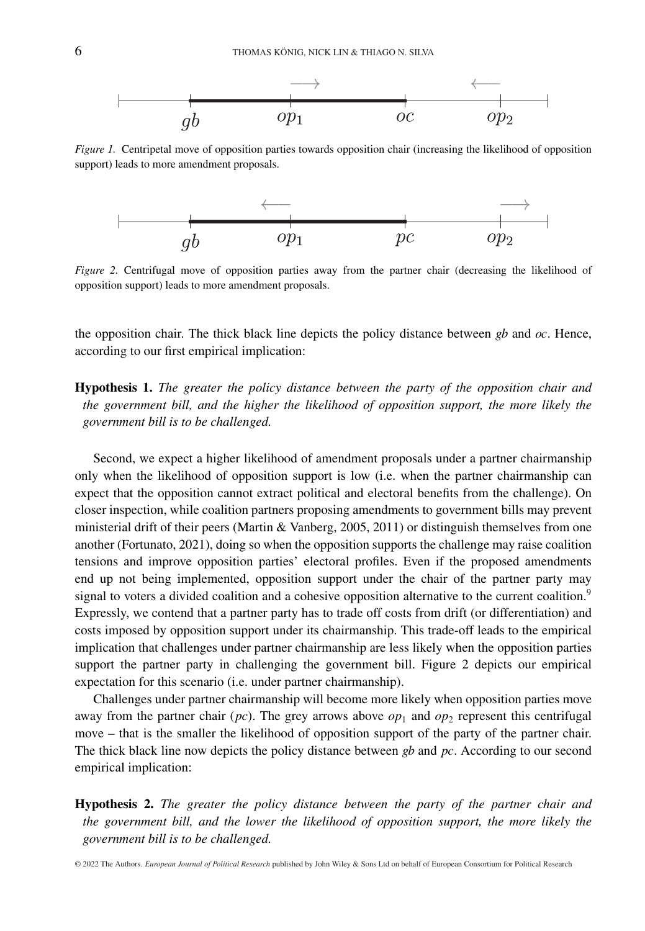

*Figure 1.* Centripetal move of opposition parties towards opposition chair (increasing the likelihood of opposition support) leads to more amendment proposals.



*Figure 2.* Centrifugal move of opposition parties away from the partner chair (decreasing the likelihood of opposition support) leads to more amendment proposals.

the opposition chair. The thick black line depicts the policy distance between *gb* and *oc*. Hence, according to our first empirical implication:

**Hypothesis 1.** *The greater the policy distance between the party of the opposition chair and the government bill, and the higher the likelihood of opposition support, the more likely the government bill is to be challenged.*

Second, we expect a higher likelihood of amendment proposals under a partner chairmanship only when the likelihood of opposition support is low (i.e. when the partner chairmanship can expect that the opposition cannot extract political and electoral benefits from the challenge). On closer inspection, while coalition partners proposing amendments to government bills may prevent ministerial drift of their peers (Martin & Vanberg, 2005, 2011) or distinguish themselves from one another (Fortunato, 2021), doing so when the opposition supports the challenge may raise coalition tensions and improve opposition parties' electoral profiles. Even if the proposed amendments end up not being implemented, opposition support under the chair of the partner party may signal to voters a divided coalition and a cohesive opposition alternative to the current coalition.<sup>9</sup> Expressly, we contend that a partner party has to trade off costs from drift (or differentiation) and costs imposed by opposition support under its chairmanship. This trade-off leads to the empirical implication that challenges under partner chairmanship are less likely when the opposition parties support the partner party in challenging the government bill. Figure 2 depicts our empirical expectation for this scenario (i.e. under partner chairmanship).

Challenges under partner chairmanship will become more likely when opposition parties move away from the partner chair ( $pc$ ). The grey arrows above  $op<sub>1</sub>$  and  $op<sub>2</sub>$  represent this centrifugal move – that is the smaller the likelihood of opposition support of the party of the partner chair. The thick black line now depicts the policy distance between *gb* and *pc*. According to our second empirical implication:

**Hypothesis 2.** *The greater the policy distance between the party of the partner chair and the government bill, and the lower the likelihood of opposition support, the more likely the government bill is to be challenged.*

© 2022 The Authors. *European Journal of Political Research* published by John Wiley & Sons Ltd on behalf of European Consortium for Political Research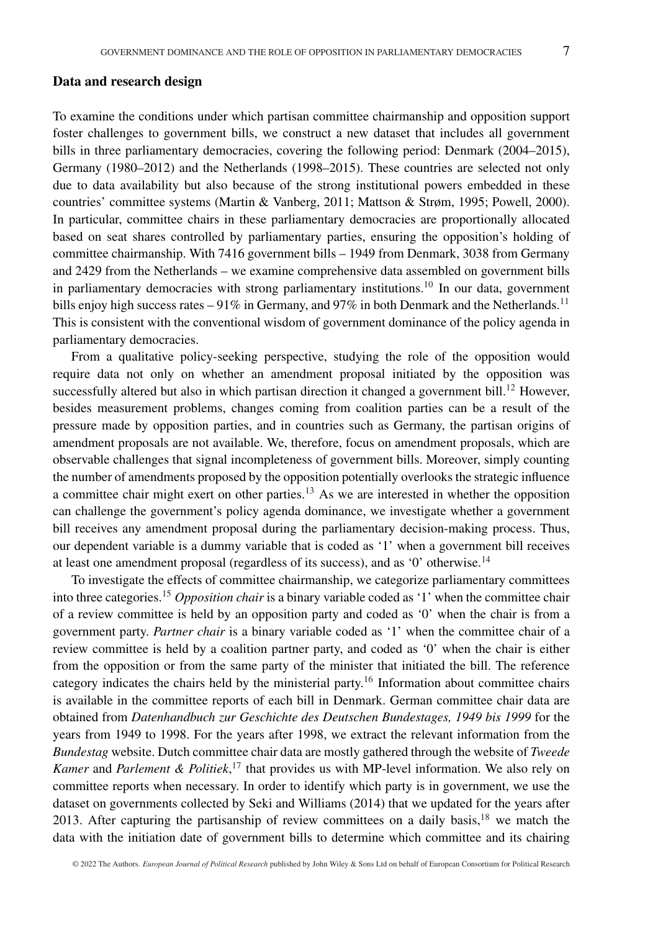#### **Data and research design**

To examine the conditions under which partisan committee chairmanship and opposition support foster challenges to government bills, we construct a new dataset that includes all government bills in three parliamentary democracies, covering the following period: Denmark (2004–2015), Germany (1980–2012) and the Netherlands (1998–2015). These countries are selected not only due to data availability but also because of the strong institutional powers embedded in these countries' committee systems (Martin & Vanberg, 2011; Mattson & Strøm, 1995; Powell, 2000). In particular, committee chairs in these parliamentary democracies are proportionally allocated based on seat shares controlled by parliamentary parties, ensuring the opposition's holding of committee chairmanship. With 7416 government bills – 1949 from Denmark, 3038 from Germany and 2429 from the Netherlands – we examine comprehensive data assembled on government bills in parliamentary democracies with strong parliamentary institutions.<sup>10</sup> In our data, government bills enjoy high success rates  $-91\%$  in Germany, and 97% in both Denmark and the Netherlands.<sup>11</sup> This is consistent with the conventional wisdom of government dominance of the policy agenda in parliamentary democracies.

From a qualitative policy-seeking perspective, studying the role of the opposition would require data not only on whether an amendment proposal initiated by the opposition was successfully altered but also in which partisan direction it changed a government bill.<sup>12</sup> However, besides measurement problems, changes coming from coalition parties can be a result of the pressure made by opposition parties, and in countries such as Germany, the partisan origins of amendment proposals are not available. We, therefore, focus on amendment proposals, which are observable challenges that signal incompleteness of government bills. Moreover, simply counting the number of amendments proposed by the opposition potentially overlooks the strategic influence a committee chair might exert on other parties.<sup>13</sup> As we are interested in whether the opposition can challenge the government's policy agenda dominance, we investigate whether a government bill receives any amendment proposal during the parliamentary decision-making process. Thus, our dependent variable is a dummy variable that is coded as '1' when a government bill receives at least one amendment proposal (regardless of its success), and as '0' otherwise.14

To investigate the effects of committee chairmanship, we categorize parliamentary committees into three categories.15 *Opposition chair* is a binary variable coded as '1' when the committee chair of a review committee is held by an opposition party and coded as '0' when the chair is from a government party. *Partner chair* is a binary variable coded as '1' when the committee chair of a review committee is held by a coalition partner party, and coded as '0' when the chair is either from the opposition or from the same party of the minister that initiated the bill. The reference category indicates the chairs held by the ministerial party.16 Information about committee chairs is available in the committee reports of each bill in Denmark. German committee chair data are obtained from *Datenhandbuch zur Geschichte des Deutschen Bundestages, 1949 bis 1999* for the years from 1949 to 1998. For the years after 1998, we extract the relevant information from the *Bundestag* website. Dutch committee chair data are mostly gathered through the website of *Tweede Kamer* and *Parlement & Politiek*, <sup>17</sup> that provides us with MP-level information. We also rely on committee reports when necessary. In order to identify which party is in government, we use the dataset on governments collected by Seki and Williams (2014) that we updated for the years after 2013. After capturing the partisanship of review committees on a daily basis, $18$  we match the data with the initiation date of government bills to determine which committee and its chairing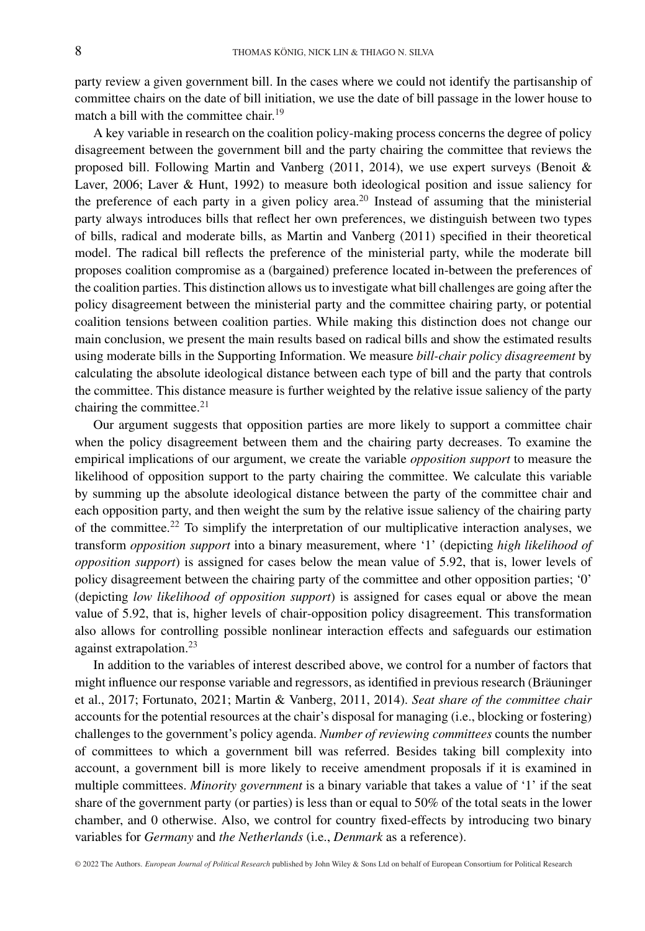party review a given government bill. In the cases where we could not identify the partisanship of committee chairs on the date of bill initiation, we use the date of bill passage in the lower house to match a bill with the committee chair.<sup>19</sup>

A key variable in research on the coalition policy-making process concerns the degree of policy disagreement between the government bill and the party chairing the committee that reviews the proposed bill. Following Martin and Vanberg (2011, 2014), we use expert surveys (Benoit & Laver, 2006; Laver & Hunt, 1992) to measure both ideological position and issue saliency for the preference of each party in a given policy area.<sup>20</sup> Instead of assuming that the ministerial party always introduces bills that reflect her own preferences, we distinguish between two types of bills, radical and moderate bills, as Martin and Vanberg (2011) specified in their theoretical model. The radical bill reflects the preference of the ministerial party, while the moderate bill proposes coalition compromise as a (bargained) preference located in-between the preferences of the coalition parties. This distinction allows us to investigate what bill challenges are going after the policy disagreement between the ministerial party and the committee chairing party, or potential coalition tensions between coalition parties. While making this distinction does not change our main conclusion, we present the main results based on radical bills and show the estimated results using moderate bills in the Supporting Information. We measure *bill-chair policy disagreement* by calculating the absolute ideological distance between each type of bill and the party that controls the committee. This distance measure is further weighted by the relative issue saliency of the party chairing the committee.<sup>21</sup>

Our argument suggests that opposition parties are more likely to support a committee chair when the policy disagreement between them and the chairing party decreases. To examine the empirical implications of our argument, we create the variable *opposition support* to measure the likelihood of opposition support to the party chairing the committee. We calculate this variable by summing up the absolute ideological distance between the party of the committee chair and each opposition party, and then weight the sum by the relative issue saliency of the chairing party of the committee.<sup>22</sup> To simplify the interpretation of our multiplicative interaction analyses, we transform *opposition support* into a binary measurement, where '1' (depicting *high likelihood of opposition support*) is assigned for cases below the mean value of 5.92, that is, lower levels of policy disagreement between the chairing party of the committee and other opposition parties; '0' (depicting *low likelihood of opposition support*) is assigned for cases equal or above the mean value of 5.92, that is, higher levels of chair-opposition policy disagreement. This transformation also allows for controlling possible nonlinear interaction effects and safeguards our estimation against extrapolation.<sup>23</sup>

In addition to the variables of interest described above, we control for a number of factors that might influence our response variable and regressors, as identified in previous research (Bräuninger et al., 2017; Fortunato, 2021; Martin & Vanberg, 2011, 2014). *Seat share of the committee chair* accounts for the potential resources at the chair's disposal for managing (i.e., blocking or fostering) challenges to the government's policy agenda. *Number of reviewing committees* counts the number of committees to which a government bill was referred. Besides taking bill complexity into account, a government bill is more likely to receive amendment proposals if it is examined in multiple committees. *Minority government* is a binary variable that takes a value of '1' if the seat share of the government party (or parties) is less than or equal to 50% of the total seats in the lower chamber, and 0 otherwise. Also, we control for country fixed-effects by introducing two binary variables for *Germany* and *the Netherlands* (i.e., *Denmark* as a reference).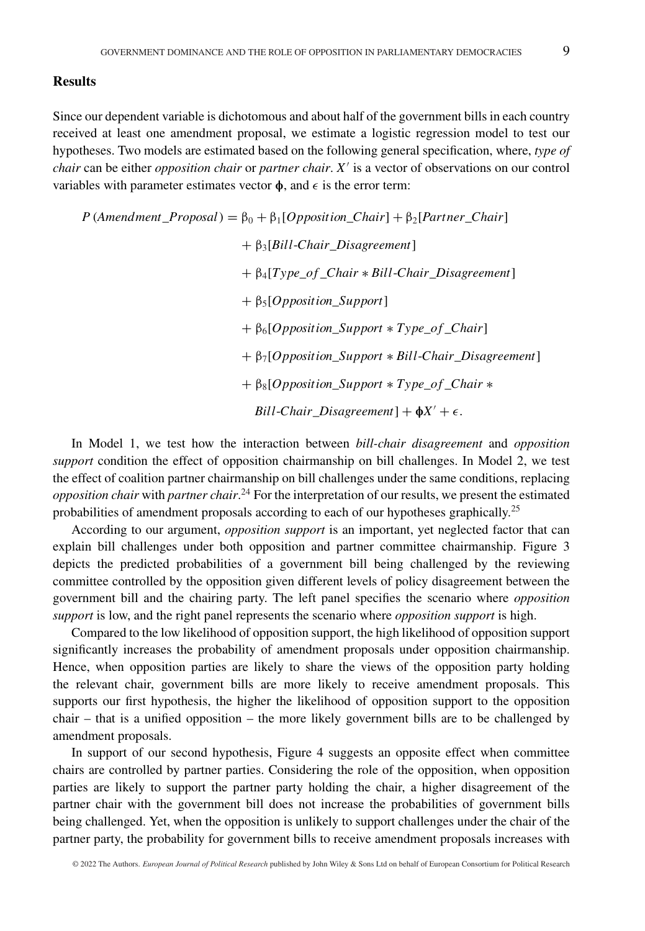#### **Results**

Since our dependent variable is dichotomous and about half of the government bills in each country received at least one amendment proposal, we estimate a logistic regression model to test our hypotheses. Two models are estimated based on the following general specification, where, *type of chair* can be either *opposition chair* or *partner chair*. *X*- is a vector of observations on our control variables with parameter estimates vector  $\phi$ , and  $\epsilon$  is the error term:

 $P$  (*Amendment*\_*Proposal*) =  $\beta_0 + \beta_1[Opposition\_Chair] + \beta_2[Patterner\_Chair]$ + β3[*Bill*-*Chair*\_*Disagreement*] + β4[*Type*\_*of* \_*Chair* ∗ *Bill*-*Chair*\_*Disagreement*] + β5[*Opposition*\_*Support*] + β6[*Opposition*\_*Support* ∗ *Type*\_*of* \_*Chair*] + β7[*Opposition*\_*Support* ∗ *Bill*-*Chair*\_*Disagreement*] + β8[*Opposition*\_*Support* ∗ *Type*\_*of* \_*Chair* ∗  $Bill$ *-Chair\_Disagreement*] +  $\phi X'$  +  $\epsilon$ .

In Model 1, we test how the interaction between *bill-chair disagreement* and *opposition support* condition the effect of opposition chairmanship on bill challenges. In Model 2, we test the effect of coalition partner chairmanship on bill challenges under the same conditions, replacing *opposition chair* with *partner chair*. <sup>24</sup> For the interpretation of our results, we present the estimated probabilities of amendment proposals according to each of our hypotheses graphically.25

According to our argument, *opposition support* is an important, yet neglected factor that can explain bill challenges under both opposition and partner committee chairmanship. Figure 3 depicts the predicted probabilities of a government bill being challenged by the reviewing committee controlled by the opposition given different levels of policy disagreement between the government bill and the chairing party. The left panel specifies the scenario where *opposition support* is low, and the right panel represents the scenario where *opposition support* is high.

Compared to the low likelihood of opposition support, the high likelihood of opposition support significantly increases the probability of amendment proposals under opposition chairmanship. Hence, when opposition parties are likely to share the views of the opposition party holding the relevant chair, government bills are more likely to receive amendment proposals. This supports our first hypothesis, the higher the likelihood of opposition support to the opposition chair – that is a unified opposition – the more likely government bills are to be challenged by amendment proposals.

In support of our second hypothesis, Figure 4 suggests an opposite effect when committee chairs are controlled by partner parties. Considering the role of the opposition, when opposition parties are likely to support the partner party holding the chair, a higher disagreement of the partner chair with the government bill does not increase the probabilities of government bills being challenged. Yet, when the opposition is unlikely to support challenges under the chair of the partner party, the probability for government bills to receive amendment proposals increases with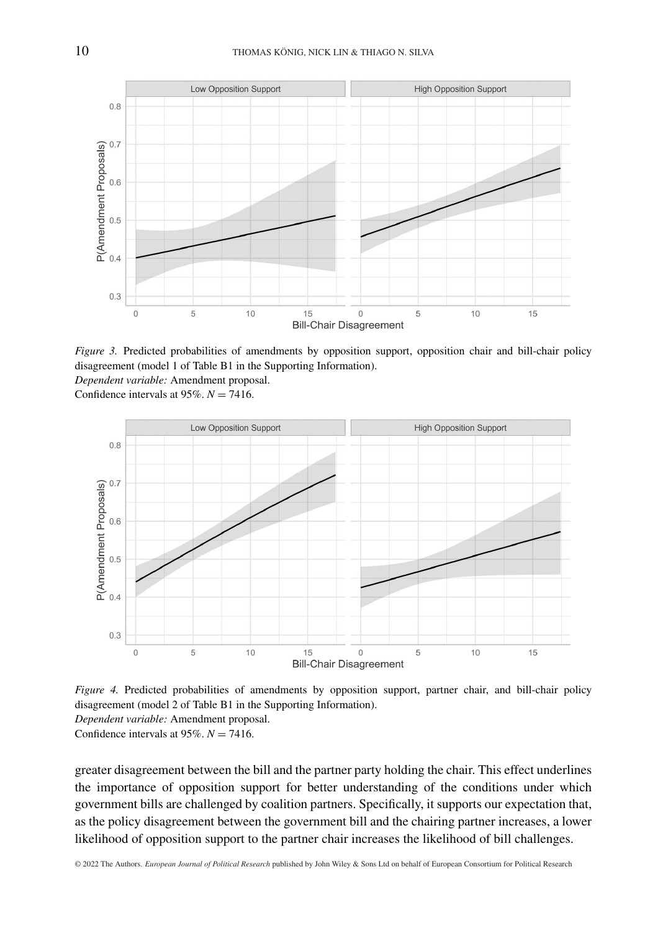

*Figure 3.* Predicted probabilities of amendments by opposition support, opposition chair and bill-chair policy disagreement (model 1 of Table B1 in the Supporting Information). *Dependent variable:* Amendment proposal.

Confidence intervals at  $95\%$ .  $N = 7416$ .



*Figure 4.* Predicted probabilities of amendments by opposition support, partner chair, and bill-chair policy disagreement (model 2 of Table B1 in the Supporting Information). *Dependent variable:* Amendment proposal. Confidence intervals at  $95\%$ ,  $N = 7416$ .

greater disagreement between the bill and the partner party holding the chair. This effect underlines the importance of opposition support for better understanding of the conditions under which government bills are challenged by coalition partners. Specifically, it supports our expectation that, as the policy disagreement between the government bill and the chairing partner increases, a lower likelihood of opposition support to the partner chair increases the likelihood of bill challenges.

© 2022 The Authors. *European Journal of Political Research* published by John Wiley & Sons Ltd on behalf of European Consortium for Political Research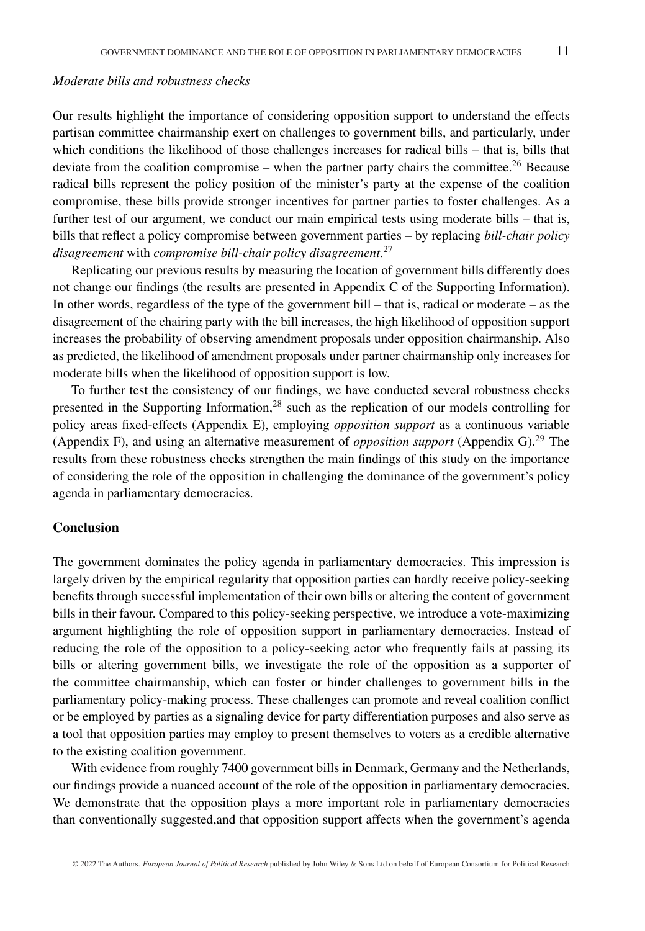#### *Moderate bills and robustness checks*

Our results highlight the importance of considering opposition support to understand the effects partisan committee chairmanship exert on challenges to government bills, and particularly, under which conditions the likelihood of those challenges increases for radical bills – that is, bills that deviate from the coalition compromise – when the partner party chairs the committee.<sup>26</sup> Because radical bills represent the policy position of the minister's party at the expense of the coalition compromise, these bills provide stronger incentives for partner parties to foster challenges. As a further test of our argument, we conduct our main empirical tests using moderate bills – that is, bills that reflect a policy compromise between government parties – by replacing *bill-chair policy disagreement* with *compromise bill-chair policy disagreement*. 27

Replicating our previous results by measuring the location of government bills differently does not change our findings (the results are presented in Appendix C of the Supporting Information). In other words, regardless of the type of the government bill – that is, radical or moderate – as the disagreement of the chairing party with the bill increases, the high likelihood of opposition support increases the probability of observing amendment proposals under opposition chairmanship. Also as predicted, the likelihood of amendment proposals under partner chairmanship only increases for moderate bills when the likelihood of opposition support is low.

To further test the consistency of our findings, we have conducted several robustness checks presented in the Supporting Information,<sup>28</sup> such as the replication of our models controlling for policy areas fixed-effects (Appendix E), employing *opposition support* as a continuous variable (Appendix F), and using an alternative measurement of *opposition support* (Appendix G).29 The results from these robustness checks strengthen the main findings of this study on the importance of considering the role of the opposition in challenging the dominance of the government's policy agenda in parliamentary democracies.

#### **Conclusion**

The government dominates the policy agenda in parliamentary democracies. This impression is largely driven by the empirical regularity that opposition parties can hardly receive policy-seeking benefits through successful implementation of their own bills or altering the content of government bills in their favour. Compared to this policy-seeking perspective, we introduce a vote-maximizing argument highlighting the role of opposition support in parliamentary democracies. Instead of reducing the role of the opposition to a policy-seeking actor who frequently fails at passing its bills or altering government bills, we investigate the role of the opposition as a supporter of the committee chairmanship, which can foster or hinder challenges to government bills in the parliamentary policy-making process. These challenges can promote and reveal coalition conflict or be employed by parties as a signaling device for party differentiation purposes and also serve as a tool that opposition parties may employ to present themselves to voters as a credible alternative to the existing coalition government.

With evidence from roughly 7400 government bills in Denmark, Germany and the Netherlands, our findings provide a nuanced account of the role of the opposition in parliamentary democracies. We demonstrate that the opposition plays a more important role in parliamentary democracies than conventionally suggested,and that opposition support affects when the government's agenda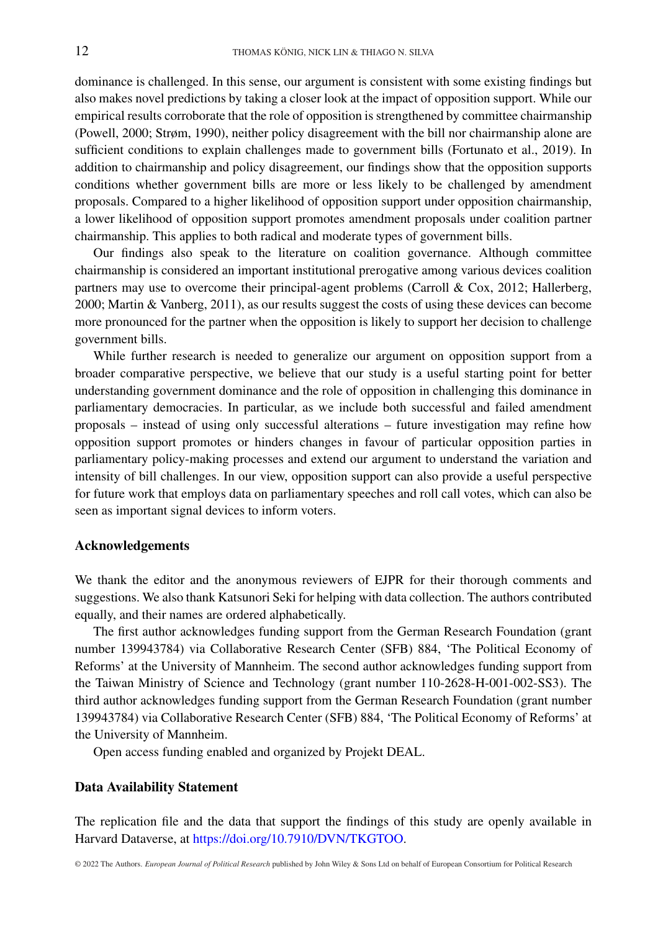dominance is challenged. In this sense, our argument is consistent with some existing findings but also makes novel predictions by taking a closer look at the impact of opposition support. While our empirical results corroborate that the role of opposition is strengthened by committee chairmanship (Powell, 2000; Strøm, 1990), neither policy disagreement with the bill nor chairmanship alone are sufficient conditions to explain challenges made to government bills (Fortunato et al., 2019). In addition to chairmanship and policy disagreement, our findings show that the opposition supports conditions whether government bills are more or less likely to be challenged by amendment proposals. Compared to a higher likelihood of opposition support under opposition chairmanship, a lower likelihood of opposition support promotes amendment proposals under coalition partner chairmanship. This applies to both radical and moderate types of government bills.

Our findings also speak to the literature on coalition governance. Although committee chairmanship is considered an important institutional prerogative among various devices coalition partners may use to overcome their principal-agent problems (Carroll & Cox, 2012; Hallerberg, 2000; Martin & Vanberg, 2011), as our results suggest the costs of using these devices can become more pronounced for the partner when the opposition is likely to support her decision to challenge government bills.

While further research is needed to generalize our argument on opposition support from a broader comparative perspective, we believe that our study is a useful starting point for better understanding government dominance and the role of opposition in challenging this dominance in parliamentary democracies. In particular, as we include both successful and failed amendment proposals – instead of using only successful alterations – future investigation may refine how opposition support promotes or hinders changes in favour of particular opposition parties in parliamentary policy-making processes and extend our argument to understand the variation and intensity of bill challenges. In our view, opposition support can also provide a useful perspective for future work that employs data on parliamentary speeches and roll call votes, which can also be seen as important signal devices to inform voters.

#### **Acknowledgements**

We thank the editor and the anonymous reviewers of EJPR for their thorough comments and suggestions. We also thank Katsunori Seki for helping with data collection. The authors contributed equally, and their names are ordered alphabetically.

The first author acknowledges funding support from the German Research Foundation (grant number 139943784) via Collaborative Research Center (SFB) 884, 'The Political Economy of Reforms' at the University of Mannheim. The second author acknowledges funding support from the Taiwan Ministry of Science and Technology (grant number 110-2628-H-001-002-SS3). The third author acknowledges funding support from the German Research Foundation (grant number 139943784) via Collaborative Research Center (SFB) 884, 'The Political Economy of Reforms' at the University of Mannheim.

Open access funding enabled and organized by Projekt DEAL.

#### **Data Availability Statement**

The replication file and the data that support the findings of this study are openly available in Harvard Dataverse, at [https://doi.org/10.7910/DVN/TKGTOO.](https://doi.org/10.7910/DVN/TKGTOO)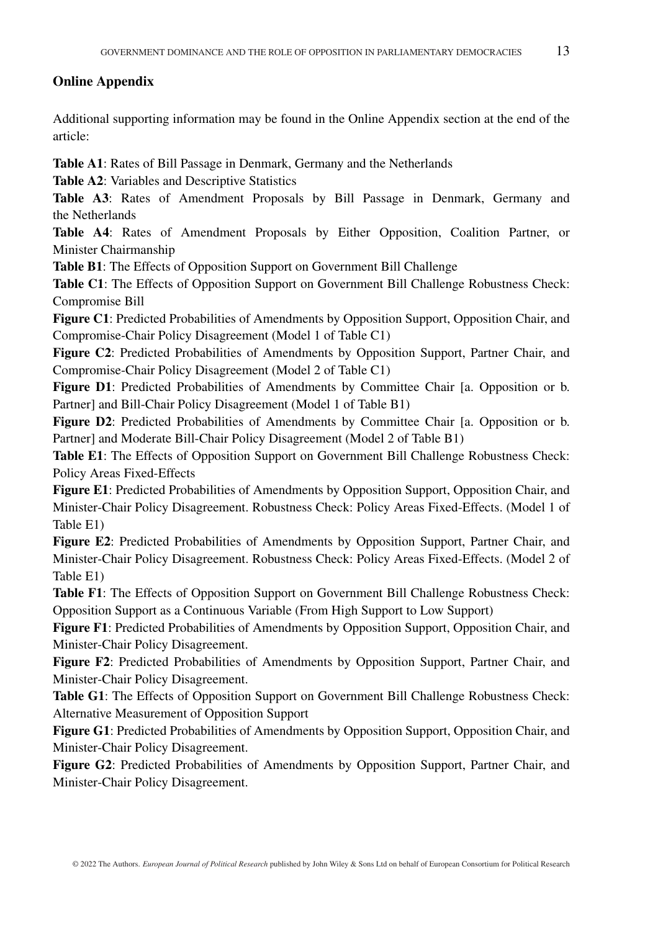### **Online Appendix**

Additional supporting information may be found in the Online Appendix section at the end of the article:

**Table A1**: Rates of Bill Passage in Denmark, Germany and the Netherlands

**Table A2**: Variables and Descriptive Statistics

**Table A3**: Rates of Amendment Proposals by Bill Passage in Denmark, Germany and the Netherlands

**Table A4**: Rates of Amendment Proposals by Either Opposition, Coalition Partner, or Minister Chairmanship

**Table B1**: The Effects of Opposition Support on Government Bill Challenge

**Table C1**: The Effects of Opposition Support on Government Bill Challenge Robustness Check: Compromise Bill

**Figure C1**: Predicted Probabilities of Amendments by Opposition Support, Opposition Chair, and Compromise-Chair Policy Disagreement (Model 1 of Table C1)

**Figure C2**: Predicted Probabilities of Amendments by Opposition Support, Partner Chair, and Compromise-Chair Policy Disagreement (Model 2 of Table C1)

**Figure D1**: Predicted Probabilities of Amendments by Committee Chair [a. Opposition or b. Partner] and Bill-Chair Policy Disagreement (Model 1 of Table B1)

**Figure D2**: Predicted Probabilities of Amendments by Committee Chair [a. Opposition or b. Partner] and Moderate Bill-Chair Policy Disagreement (Model 2 of Table B1)

**Table E1**: The Effects of Opposition Support on Government Bill Challenge Robustness Check: Policy Areas Fixed-Effects

**Figure E1**: Predicted Probabilities of Amendments by Opposition Support, Opposition Chair, and Minister-Chair Policy Disagreement. Robustness Check: Policy Areas Fixed-Effects. (Model 1 of Table E1)

**Figure E2**: Predicted Probabilities of Amendments by Opposition Support, Partner Chair, and Minister-Chair Policy Disagreement. Robustness Check: Policy Areas Fixed-Effects. (Model 2 of Table E1)

**Table F1**: The Effects of Opposition Support on Government Bill Challenge Robustness Check: Opposition Support as a Continuous Variable (From High Support to Low Support)

**Figure F1**: Predicted Probabilities of Amendments by Opposition Support, Opposition Chair, and Minister-Chair Policy Disagreement.

**Figure F2**: Predicted Probabilities of Amendments by Opposition Support, Partner Chair, and Minister-Chair Policy Disagreement.

**Table G1**: The Effects of Opposition Support on Government Bill Challenge Robustness Check: Alternative Measurement of Opposition Support

**Figure G1**: Predicted Probabilities of Amendments by Opposition Support, Opposition Chair, and Minister-Chair Policy Disagreement.

**Figure G2**: Predicted Probabilities of Amendments by Opposition Support, Partner Chair, and Minister-Chair Policy Disagreement.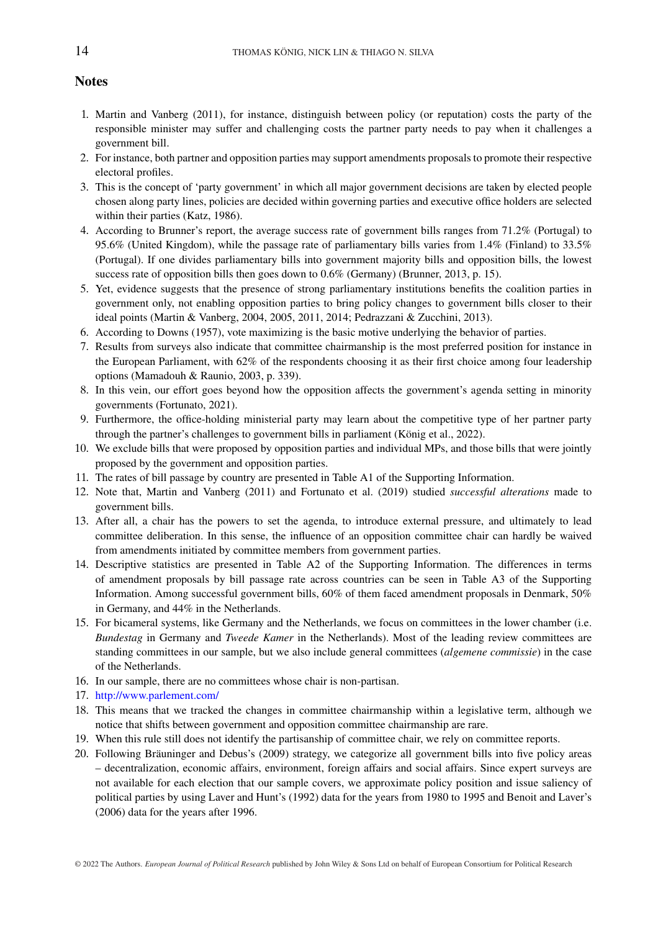#### **Notes**

- 1. Martin and Vanberg (2011), for instance, distinguish between policy (or reputation) costs the party of the responsible minister may suffer and challenging costs the partner party needs to pay when it challenges a government bill.
- 2. For instance, both partner and opposition parties may support amendments proposals to promote their respective electoral profiles.
- 3. This is the concept of 'party government' in which all major government decisions are taken by elected people chosen along party lines, policies are decided within governing parties and executive office holders are selected within their parties (Katz, 1986).
- 4. According to Brunner's report, the average success rate of government bills ranges from 71.2% (Portugal) to 95.6% (United Kingdom), while the passage rate of parliamentary bills varies from 1.4% (Finland) to 33.5% (Portugal). If one divides parliamentary bills into government majority bills and opposition bills, the lowest success rate of opposition bills then goes down to 0.6% (Germany) (Brunner, 2013, p. 15).
- 5. Yet, evidence suggests that the presence of strong parliamentary institutions benefits the coalition parties in government only, not enabling opposition parties to bring policy changes to government bills closer to their ideal points (Martin & Vanberg, 2004, 2005, 2011, 2014; Pedrazzani & Zucchini, 2013).
- 6. According to Downs (1957), vote maximizing is the basic motive underlying the behavior of parties.
- 7. Results from surveys also indicate that committee chairmanship is the most preferred position for instance in the European Parliament, with 62% of the respondents choosing it as their first choice among four leadership options (Mamadouh & Raunio, 2003, p. 339).
- 8. In this vein, our effort goes beyond how the opposition affects the government's agenda setting in minority governments (Fortunato, 2021).
- 9. Furthermore, the office-holding ministerial party may learn about the competitive type of her partner party through the partner's challenges to government bills in parliament (König et al., 2022).
- 10. We exclude bills that were proposed by opposition parties and individual MPs, and those bills that were jointly proposed by the government and opposition parties.
- 11. The rates of bill passage by country are presented in Table A1 of the Supporting Information.
- 12. Note that, Martin and Vanberg (2011) and Fortunato et al. (2019) studied *successful alterations* made to government bills.
- 13. After all, a chair has the powers to set the agenda, to introduce external pressure, and ultimately to lead committee deliberation. In this sense, the influence of an opposition committee chair can hardly be waived from amendments initiated by committee members from government parties.
- 14. Descriptive statistics are presented in Table A2 of the Supporting Information. The differences in terms of amendment proposals by bill passage rate across countries can be seen in Table A3 of the Supporting Information. Among successful government bills, 60% of them faced amendment proposals in Denmark, 50% in Germany, and 44% in the Netherlands.
- 15. For bicameral systems, like Germany and the Netherlands, we focus on committees in the lower chamber (i.e. *Bundestag* in Germany and *Tweede Kamer* in the Netherlands). Most of the leading review committees are standing committees in our sample, but we also include general committees (*algemene commissie*) in the case of the Netherlands.
- 16. In our sample, there are no committees whose chair is non-partisan.
- 17. <http://www.parlement.com/>
- 18. This means that we tracked the changes in committee chairmanship within a legislative term, although we notice that shifts between government and opposition committee chairmanship are rare.
- 19. When this rule still does not identify the partisanship of committee chair, we rely on committee reports.
- 20. Following Bräuninger and Debus's (2009) strategy, we categorize all government bills into five policy areas – decentralization, economic affairs, environment, foreign affairs and social affairs. Since expert surveys are not available for each election that our sample covers, we approximate policy position and issue saliency of political parties by using Laver and Hunt's (1992) data for the years from 1980 to 1995 and Benoit and Laver's (2006) data for the years after 1996.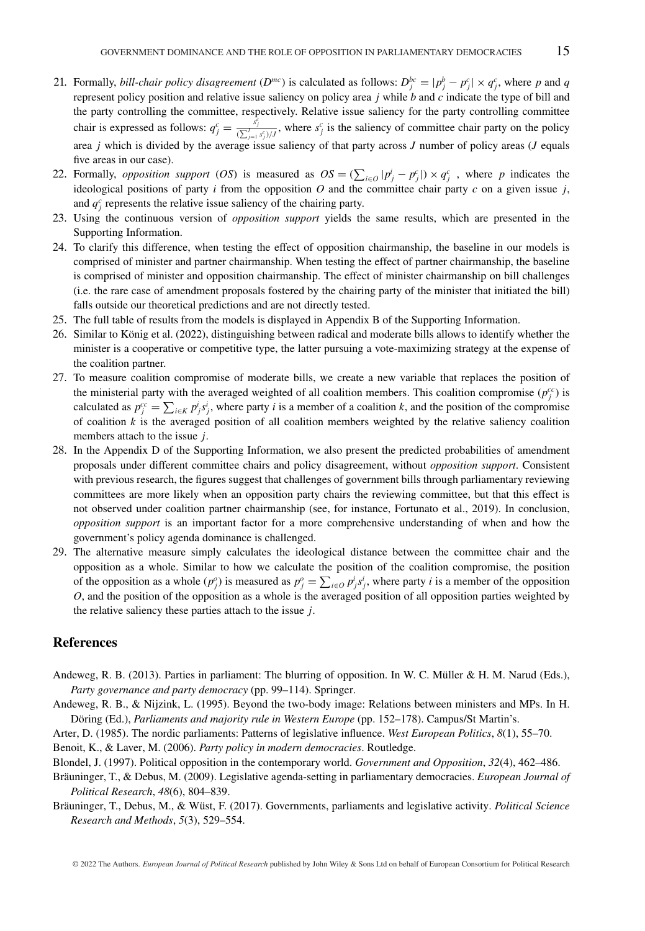- 21. Formally, *bill-chair policy disagreement* ( $D^{mc}$ ) is calculated as follows:  $D_j^{bc} = |p_j^b p_j^c| \times q_j^c$ , where p and q represent policy position and relative issue saliency on policy area *j* while *b* and *c* indicate the type of bill and the party controlling the committee, respectively. Relative issue saliency for the party controlling committee chair is expressed as follows:  $q_j^c = \frac{s_j^c}{(\sum_{j=1}^j s_j^c)/j}$ , where  $s_j^c$  is the saliency of committee chair party on the policy area *j* which is divided by the average issue saliency of that party across *J* number of policy areas (*J* equals five areas in our case).
- 22. Formally, *opposition support* (*OS*) is measured as  $OS = (\sum_{i \in O} |p_j^i p_j^c|) \times q_j^c$ , where *p* indicates the ideological positions of party  $i$  from the opposition  $O$  and the committee chair party  $c$  on a given issue  $j$ , and  $q_j^c$  represents the relative issue saliency of the chairing party.
- 23. Using the continuous version of *opposition support* yields the same results, which are presented in the Supporting Information.
- 24. To clarify this difference, when testing the effect of opposition chairmanship, the baseline in our models is comprised of minister and partner chairmanship. When testing the effect of partner chairmanship, the baseline is comprised of minister and opposition chairmanship. The effect of minister chairmanship on bill challenges (i.e. the rare case of amendment proposals fostered by the chairing party of the minister that initiated the bill) falls outside our theoretical predictions and are not directly tested.
- 25. The full table of results from the models is displayed in Appendix B of the Supporting Information.
- 26. Similar to König et al. (2022), distinguishing between radical and moderate bills allows to identify whether the minister is a cooperative or competitive type, the latter pursuing a vote-maximizing strategy at the expense of the coalition partner.
- 27. To measure coalition compromise of moderate bills, we create a new variable that replaces the position of the ministerial party with the averaged weighted of all coalition members. This coalition compromise  $(p_j^c)$  is calculated as  $p_j^{cc} = \sum_{i \in K} p_j^i s_j^i$ , where party *i* is a member of a coalition *k*, and the position of the compromise of coalition  $k$  is the averaged position of all coalition members weighted by the relative saliency coalition members attach to the issue *j*.
- 28. In the Appendix D of the Supporting Information, we also present the predicted probabilities of amendment proposals under different committee chairs and policy disagreement, without *opposition support*. Consistent with previous research, the figures suggest that challenges of government bills through parliamentary reviewing committees are more likely when an opposition party chairs the reviewing committee, but that this effect is not observed under coalition partner chairmanship (see, for instance, Fortunato et al., 2019). In conclusion, *opposition support* is an important factor for a more comprehensive understanding of when and how the government's policy agenda dominance is challenged.
- 29. The alternative measure simply calculates the ideological distance between the committee chair and the opposition as a whole. Similar to how we calculate the position of the coalition compromise, the position of the opposition as a whole  $(p_j^o)$  is measured as  $p_j^o = \sum_{i \in O} p_j^i s_j^i$ , where party *i* is a member of the opposition *O*, and the position of the opposition as a whole is the averaged position of all opposition parties weighted by the relative saliency these parties attach to the issue *j*.

#### **References**

- Andeweg, R. B. (2013). Parties in parliament: The blurring of opposition. In W. C. Müller & H. M. Narud (Eds.), *Party governance and party democracy* (pp. 99–114). Springer.
- Andeweg, R. B., & Nijzink, L. (1995). Beyond the two-body image: Relations between ministers and MPs. In H. Döring (Ed.), *Parliaments and majority rule in Western Europe* (pp. 152–178). Campus/St Martin's.
- Arter, D. (1985). The nordic parliaments: Patterns of legislative influence. *West European Politics*, *8*(1), 55–70. Benoit, K., & Laver, M. (2006). *Party policy in modern democracies*. Routledge.
- Blondel, J. (1997). Political opposition in the contemporary world. *Government and Opposition*, *32*(4), 462–486.
- Bräuninger, T., & Debus, M. (2009). Legislative agenda-setting in parliamentary democracies. *European Journal of Political Research*, *48*(6), 804–839.
- Bräuninger, T., Debus, M., & Wüst, F. (2017). Governments, parliaments and legislative activity. *Political Science Research and Methods*, *5*(3), 529–554.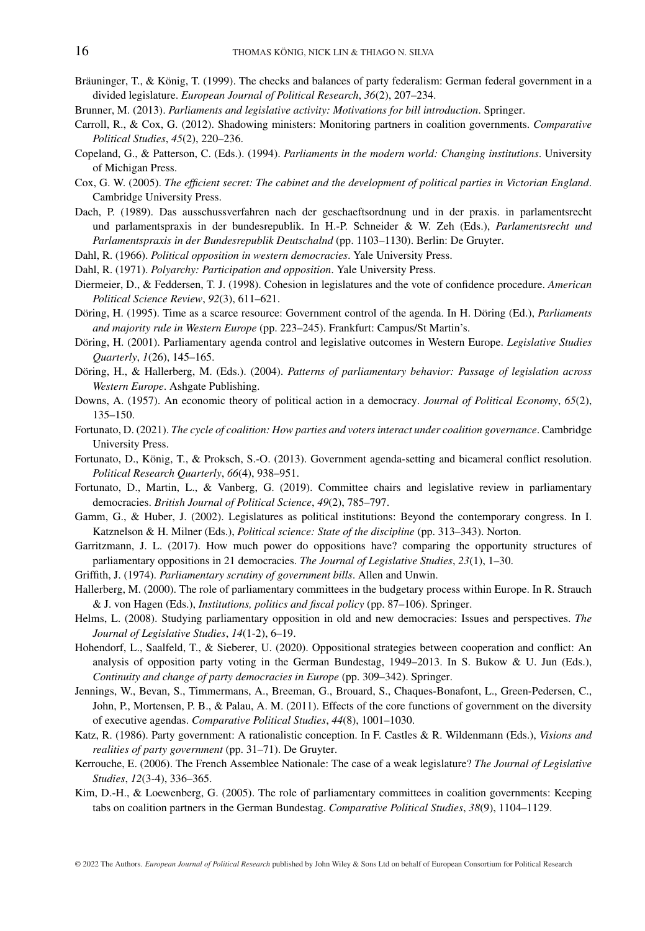- Bräuninger, T., & König, T. (1999). The checks and balances of party federalism: German federal government in a divided legislature. *European Journal of Political Research*, *36*(2), 207–234.
- Brunner, M. (2013). *Parliaments and legislative activity: Motivations for bill introduction*. Springer.
- Carroll, R., & Cox, G. (2012). Shadowing ministers: Monitoring partners in coalition governments. *Comparative Political Studies*, *45*(2), 220–236.
- Copeland, G., & Patterson, C. (Eds.). (1994). *Parliaments in the modern world: Changing institutions*. University of Michigan Press.
- Cox, G. W. (2005). *The efficient secret: The cabinet and the development of political parties in Victorian England*. Cambridge University Press.
- Dach, P. (1989). Das ausschussverfahren nach der geschaeftsordnung und in der praxis. in parlamentsrecht und parlamentspraxis in der bundesrepublik. In H.-P. Schneider & W. Zeh (Eds.), *Parlamentsrecht und Parlamentspraxis in der Bundesrepublik Deutschalnd* (pp. 1103–1130). Berlin: De Gruyter.
- Dahl, R. (1966). *Political opposition in western democracies*. Yale University Press.
- Dahl, R. (1971). *Polyarchy: Participation and opposition*. Yale University Press.
- Diermeier, D., & Feddersen, T. J. (1998). Cohesion in legislatures and the vote of confidence procedure. *American Political Science Review*, *92*(3), 611–621.
- Döring, H. (1995). Time as a scarce resource: Government control of the agenda. In H. Döring (Ed.), *Parliaments and majority rule in Western Europe* (pp. 223–245). Frankfurt: Campus/St Martin's.
- Döring, H. (2001). Parliamentary agenda control and legislative outcomes in Western Europe. *Legislative Studies Quarterly*, *1*(26), 145–165.
- Döring, H., & Hallerberg, M. (Eds.). (2004). *Patterns of parliamentary behavior: Passage of legislation across Western Europe*. Ashgate Publishing.
- Downs, A. (1957). An economic theory of political action in a democracy. *Journal of Political Economy*, *65*(2), 135–150.
- Fortunato, D. (2021). *The cycle of coalition: How parties and voters interact under coalition governance*. Cambridge University Press.
- Fortunato, D., König, T., & Proksch, S.-O. (2013). Government agenda-setting and bicameral conflict resolution. *Political Research Quarterly*, *66*(4), 938–951.
- Fortunato, D., Martin, L., & Vanberg, G. (2019). Committee chairs and legislative review in parliamentary democracies. *British Journal of Political Science*, *49*(2), 785–797.
- Gamm, G., & Huber, J. (2002). Legislatures as political institutions: Beyond the contemporary congress. In I. Katznelson & H. Milner (Eds.), *Political science: State of the discipline* (pp. 313–343). Norton.
- Garritzmann, J. L. (2017). How much power do oppositions have? comparing the opportunity structures of parliamentary oppositions in 21 democracies. *The Journal of Legislative Studies*, *23*(1), 1–30.
- Griffith, J. (1974). *Parliamentary scrutiny of government bills*. Allen and Unwin.
- Hallerberg, M. (2000). The role of parliamentary committees in the budgetary process within Europe. In R. Strauch & J. von Hagen (Eds.), *Institutions, politics and fiscal policy* (pp. 87–106). Springer.
- Helms, L. (2008). Studying parliamentary opposition in old and new democracies: Issues and perspectives. *The Journal of Legislative Studies*, *14*(1-2), 6–19.
- Hohendorf, L., Saalfeld, T., & Sieberer, U. (2020). Oppositional strategies between cooperation and conflict: An analysis of opposition party voting in the German Bundestag, 1949–2013. In S. Bukow & U. Jun (Eds.), *Continuity and change of party democracies in Europe* (pp. 309–342). Springer.
- Jennings, W., Bevan, S., Timmermans, A., Breeman, G., Brouard, S., Chaques-Bonafont, L., Green-Pedersen, C., John, P., Mortensen, P. B., & Palau, A. M. (2011). Effects of the core functions of government on the diversity of executive agendas. *Comparative Political Studies*, *44*(8), 1001–1030.
- Katz, R. (1986). Party government: A rationalistic conception. In F. Castles & R. Wildenmann (Eds.), *Visions and realities of party government* (pp. 31–71). De Gruyter.
- Kerrouche, E. (2006). The French Assemblee Nationale: The case of a weak legislature? *The Journal of Legislative Studies*, *12*(3-4), 336–365.
- Kim, D.-H., & Loewenberg, G. (2005). The role of parliamentary committees in coalition governments: Keeping tabs on coalition partners in the German Bundestag. *Comparative Political Studies*, *38*(9), 1104–1129.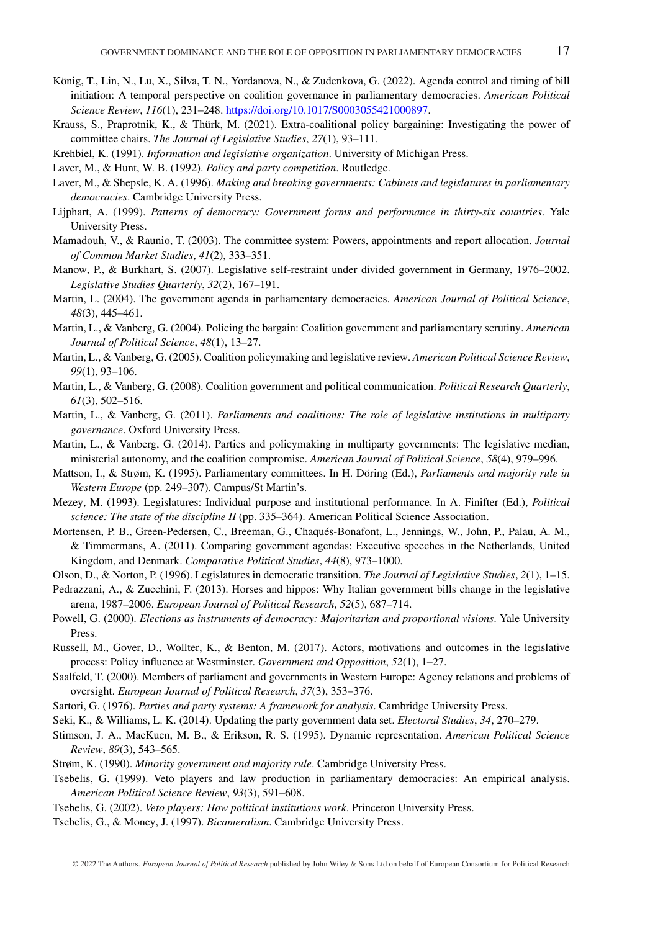- König, T., Lin, N., Lu, X., Silva, T. N., Yordanova, N., & Zudenkova, G. (2022). Agenda control and timing of bill initiation: A temporal perspective on coalition governance in parliamentary democracies. *American Political Science Review*, *116*(1), 231–248. [https://doi.org/10.1017/S0003055421000897.](https://doi.org/10.1017/S0003055421000897)
- Krauss, S., Praprotnik, K., & Thürk, M. (2021). Extra-coalitional policy bargaining: Investigating the power of committee chairs. *The Journal of Legislative Studies*, *27*(1), 93–111.
- Krehbiel, K. (1991). *Information and legislative organization*. University of Michigan Press.
- Laver, M., & Hunt, W. B. (1992). *Policy and party competition*. Routledge.
- Laver, M., & Shepsle, K. A. (1996). *Making and breaking governments: Cabinets and legislatures in parliamentary democracies*. Cambridge University Press.
- Lijphart, A. (1999). *Patterns of democracy: Government forms and performance in thirty-six countries*. Yale University Press.
- Mamadouh, V., & Raunio, T. (2003). The committee system: Powers, appointments and report allocation. *Journal of Common Market Studies*, *41*(2), 333–351.
- Manow, P., & Burkhart, S. (2007). Legislative self-restraint under divided government in Germany, 1976–2002. *Legislative Studies Quarterly*, *32*(2), 167–191.
- Martin, L. (2004). The government agenda in parliamentary democracies. *American Journal of Political Science*, *48*(3), 445–461.
- Martin, L., & Vanberg, G. (2004). Policing the bargain: Coalition government and parliamentary scrutiny. *American Journal of Political Science*, *48*(1), 13–27.
- Martin, L., & Vanberg, G. (2005). Coalition policymaking and legislative review. *American Political Science Review*, *99*(1), 93–106.
- Martin, L., & Vanberg, G. (2008). Coalition government and political communication. *Political Research Quarterly*, *61*(3), 502–516.
- Martin, L., & Vanberg, G. (2011). *Parliaments and coalitions: The role of legislative institutions in multiparty governance*. Oxford University Press.
- Martin, L., & Vanberg, G. (2014). Parties and policymaking in multiparty governments: The legislative median, ministerial autonomy, and the coalition compromise. *American Journal of Political Science*, *58*(4), 979–996.
- Mattson, I., & Strøm, K. (1995). Parliamentary committees. In H. Döring (Ed.), *Parliaments and majority rule in Western Europe* (pp. 249–307). Campus/St Martin's.
- Mezey, M. (1993). Legislatures: Individual purpose and institutional performance. In A. Finifter (Ed.), *Political science: The state of the discipline II* (pp. 335–364). American Political Science Association.
- Mortensen, P. B., Green-Pedersen, C., Breeman, G., Chaqués-Bonafont, L., Jennings, W., John, P., Palau, A. M., & Timmermans, A. (2011). Comparing government agendas: Executive speeches in the Netherlands, United Kingdom, and Denmark. *Comparative Political Studies*, *44*(8), 973–1000.
- Olson, D., & Norton, P. (1996). Legislatures in democratic transition. *The Journal of Legislative Studies*, *2*(1), 1–15.
- Pedrazzani, A., & Zucchini, F. (2013). Horses and hippos: Why Italian government bills change in the legislative arena, 1987–2006. *European Journal of Political Research*, *52*(5), 687–714.
- Powell, G. (2000). *Elections as instruments of democracy: Majoritarian and proportional visions*. Yale University Press.
- Russell, M., Gover, D., Wollter, K., & Benton, M. (2017). Actors, motivations and outcomes in the legislative process: Policy influence at Westminster. *Government and Opposition*, *52*(1), 1–27.
- Saalfeld, T. (2000). Members of parliament and governments in Western Europe: Agency relations and problems of oversight. *European Journal of Political Research*, *37*(3), 353–376.
- Sartori, G. (1976). *Parties and party systems: A framework for analysis*. Cambridge University Press.
- Seki, K., & Williams, L. K. (2014). Updating the party government data set. *Electoral Studies*, *34*, 270–279.
- Stimson, J. A., MacKuen, M. B., & Erikson, R. S. (1995). Dynamic representation. *American Political Science Review*, *89*(3), 543–565.
- Strøm, K. (1990). *Minority government and majority rule*. Cambridge University Press.
- Tsebelis, G. (1999). Veto players and law production in parliamentary democracies: An empirical analysis. *American Political Science Review*, *93*(3), 591–608.
- Tsebelis, G. (2002). *Veto players: How political institutions work*. Princeton University Press.
- Tsebelis, G., & Money, J. (1997). *Bicameralism*. Cambridge University Press.